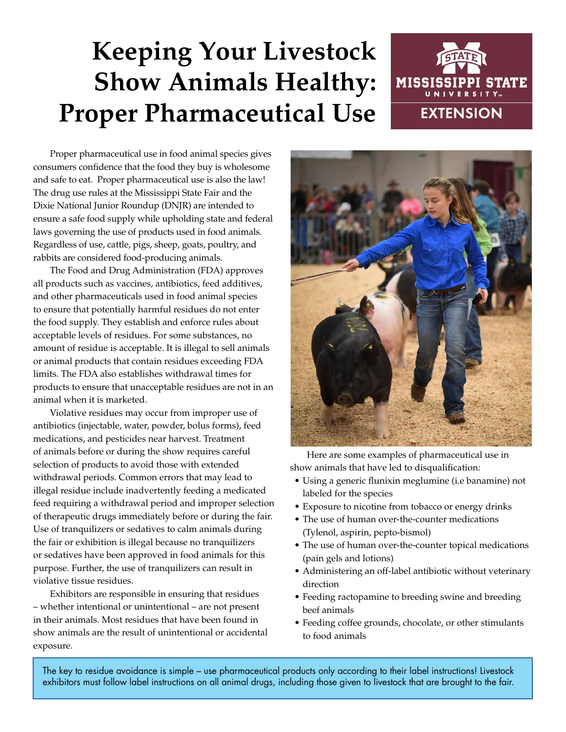# **Keeping Your Livestock Show Animals Healthy: Proper Pharmaceutical Use**



Proper pharmaceutical use in food animal species gives consumers confidence that the food they buy is wholesome and safe to eat. Proper pharmaceutical use is also the law! The drug use rules at the Mississippi State Fair and the Dixie National Junior Roundup (DNJR) are intended to ensure a safe food supply while upholding state and federal laws governing the use of products used in food animals. Regardless of use, cattle, pigs, sheep, goats, poultry, and rabbits are considered food-producing animals.

The Food and Drug Administration (FDA) approves all products such as vaccines, antibiotics, feed additives, and other pharmaceuticals used in food animal species to ensure that potentially harmful residues do not enter the food supply. They establish and enforce rules about acceptable levels of residues. For some substances, no amount of residue is acceptable. It is illegal to sell animals or animal products that contain residues exceeding FDA limits. The FDA also establishes withdrawal times for products to ensure that unacceptable residues are not in an animal when it is marketed.

Violative residues may occur from improper use of antibiotics (injectable, water, powder, bolus forms), feed medications, and pesticides near harvest. Treatment of animals before or during the show requires careful selection of products to avoid those with extended withdrawal periods. Common errors that may lead to illegal residue include inadvertently feeding a medicated feed requiring a withdrawal period and improper selection of therapeutic drugs immediately before or during the fair. Use of tranquilizers or sedatives to calm animals during the fair or exhibition is illegal because no tranquilizers or sedatives have been approved in food animals for this purpose. Further, the use of tranquilizers can result in violative tissue residues.

Exhibitors are responsible in ensuring that residues – whether intentional or unintentional – are not present in their animals. Most residues that have been found in show animals are the result of unintentional or accidental exposure.



Here are some examples of pharmaceutical use in show animals that have led to disqualification:

- Using a generic flunixin meglumine (i.e banamine) not labeled for the species
- Exposure to nicotine from tobacco or energy drinks
- The use of human over-the-counter medications (Tylenol, aspirin, pepto-bismol)
- The use of human over-the-counter topical medications (pain gels and lotions)
- Administering an off-label antibiotic without veterinary direction
- Feeding ractopamine to breeding swine and breeding beef animals
- Feeding coffee grounds, chocolate, or other stimulants to food animals

The key to residue avoidance is simple – use pharmaceutical products only according to their label instructions! Livestock exhibitors must follow label instructions on all animal drugs, including those given to livestock that are brought to the fair.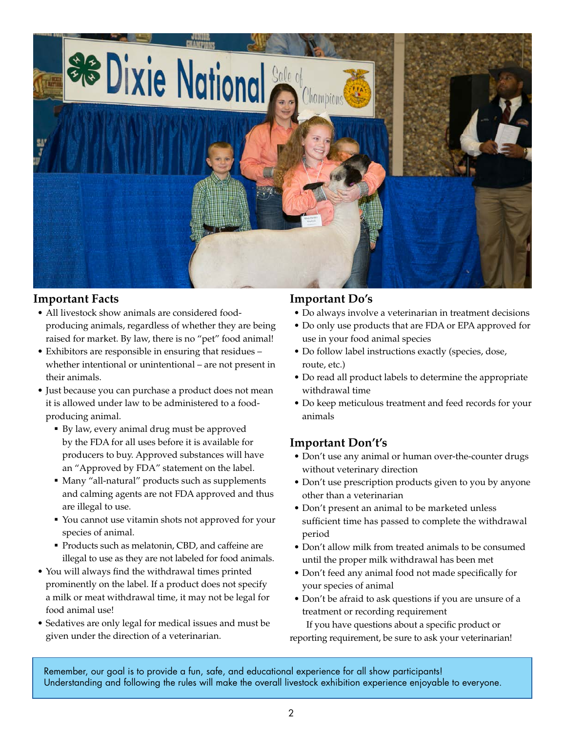

### **Important Facts**

- All livestock show animals are considered foodproducing animals, regardless of whether they are being raised for market. By law, there is no "pet" food animal!
- Exhibitors are responsible in ensuring that residues whether intentional or unintentional – are not present in their animals.
- Just because you can purchase a product does not mean it is allowed under law to be administered to a foodproducing animal.
	- By law, every animal drug must be approved by the FDA for all uses before it is available for producers to buy. Approved substances will have an "Approved by FDA" statement on the label.
	- Many "all-natural" products such as supplements and calming agents are not FDA approved and thus are illegal to use.
	- You cannot use vitamin shots not approved for your species of animal.
	- Products such as melatonin, CBD, and caffeine are illegal to use as they are not labeled for food animals.
- You will always find the withdrawal times printed prominently on the label. If a product does not specify a milk or meat withdrawal time, it may not be legal for food animal use!
- Sedatives are only legal for medical issues and must be given under the direction of a veterinarian.

### **Important Do's**

- Do always involve a veterinarian in treatment decisions
- Do only use products that are FDA or EPA approved for use in your food animal species
- Do follow label instructions exactly (species, dose, route, etc.)
- Do read all product labels to determine the appropriate withdrawal time
- Do keep meticulous treatment and feed records for your animals

## **Important Don't's**

- Don't use any animal or human over-the-counter drugs without veterinary direction
- Don't use prescription products given to you by anyone other than a veterinarian
- Don't present an animal to be marketed unless sufficient time has passed to complete the withdrawal period
- Don't allow milk from treated animals to be consumed until the proper milk withdrawal has been met
- Don't feed any animal food not made specifically for your species of animal
- Don't be afraid to ask questions if you are unsure of a treatment or recording requirement

If you have questions about a specific product or reporting requirement, be sure to ask your veterinarian!

Remember, our goal is to provide a fun, safe, and educational experience for all show participants! Understanding and following the rules will make the overall livestock exhibition experience enjoyable to everyone.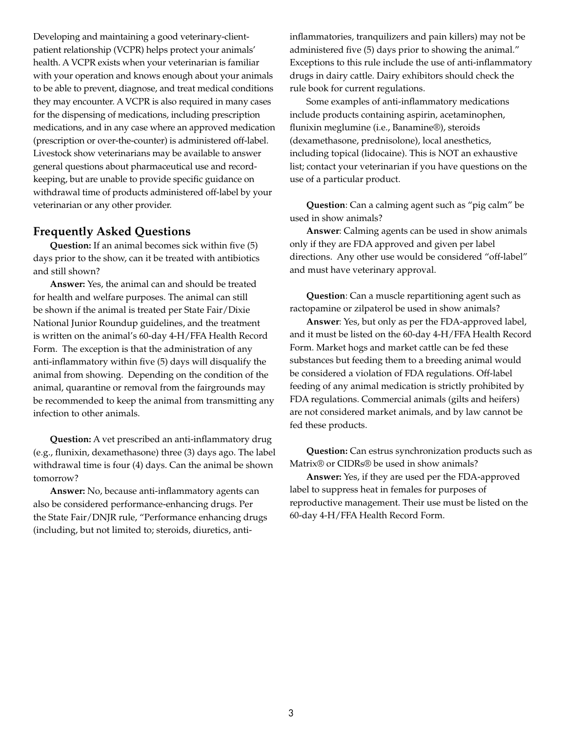Developing and maintaining a good veterinary-clientpatient relationship (VCPR) helps protect your animals' health. A VCPR exists when your veterinarian is familiar with your operation and knows enough about your animals to be able to prevent, diagnose, and treat medical conditions they may encounter. A VCPR is also required in many cases for the dispensing of medications, including prescription medications, and in any case where an approved medication (prescription or over-the-counter) is administered off-label. Livestock show veterinarians may be available to answer general questions about pharmaceutical use and recordkeeping, but are unable to provide specific guidance on withdrawal time of products administered off-label by your veterinarian or any other provider.

#### **Frequently Asked Questions**

**Question:** If an animal becomes sick within five (5) days prior to the show, can it be treated with antibiotics and still shown?

**Answer:** Yes, the animal can and should be treated for health and welfare purposes. The animal can still be shown if the animal is treated per State Fair/Dixie National Junior Roundup guidelines, and the treatment is written on the animal's 60-day 4-H/FFA Health Record Form. The exception is that the administration of any anti-inflammatory within five (5) days will disqualify the animal from showing. Depending on the condition of the animal, quarantine or removal from the fairgrounds may be recommended to keep the animal from transmitting any infection to other animals.

**Question:** A vet prescribed an anti-inflammatory drug (e.g., flunixin, dexamethasone) three (3) days ago. The label withdrawal time is four (4) days. Can the animal be shown tomorrow?

**Answer:** No, because anti-inflammatory agents can also be considered performance-enhancing drugs. Per the State Fair/DNJR rule, "Performance enhancing drugs (including, but not limited to; steroids, diuretics, antiinflammatories, tranquilizers and pain killers) may not be administered five (5) days prior to showing the animal." Exceptions to this rule include the use of anti-inflammatory drugs in dairy cattle. Dairy exhibitors should check the rule book for current regulations.

Some examples of anti-inflammatory medications include products containing aspirin, acetaminophen, flunixin meglumine (i.e., Banamine®), steroids (dexamethasone, prednisolone), local anesthetics, including topical (lidocaine). This is NOT an exhaustive list; contact your veterinarian if you have questions on the use of a particular product.

**Question**: Can a calming agent such as "pig calm" be used in show animals?

**Answer**: Calming agents can be used in show animals only if they are FDA approved and given per label directions. Any other use would be considered "off-label" and must have veterinary approval.

**Question**: Can a muscle repartitioning agent such as ractopamine or zilpaterol be used in show animals?

**Answer**: Yes, but only as per the FDA-approved label, and it must be listed on the 60-day 4-H/FFA Health Record Form. Market hogs and market cattle can be fed these substances but feeding them to a breeding animal would be considered a violation of FDA regulations. Off-label feeding of any animal medication is strictly prohibited by FDA regulations. Commercial animals (gilts and heifers) are not considered market animals, and by law cannot be fed these products.

**Question:** Can estrus synchronization products such as Matrix® or CIDRs® be used in show animals?

**Answer:** Yes, if they are used per the FDA-approved label to suppress heat in females for purposes of reproductive management. Their use must be listed on the 60-day 4-H/FFA Health Record Form.